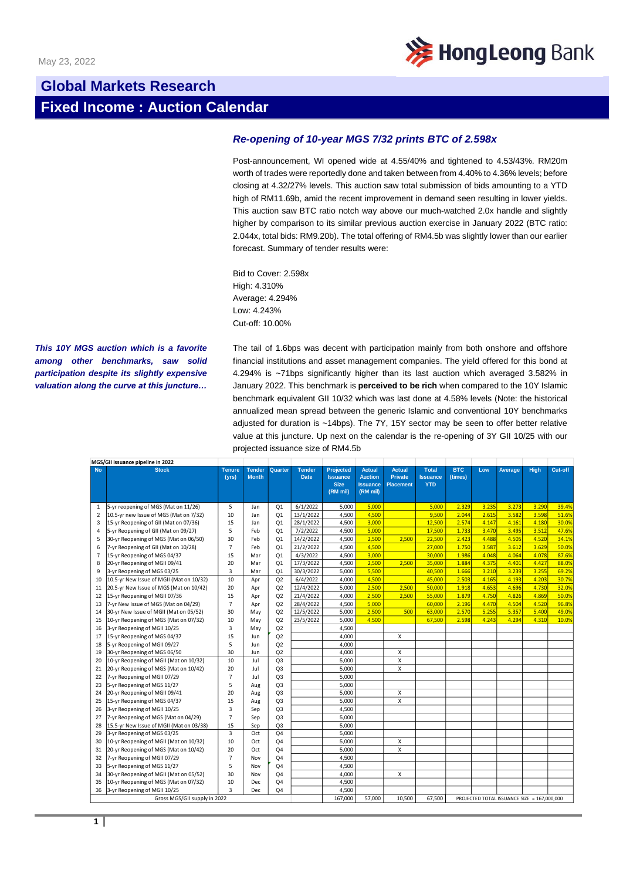

## **Global Markets Research Fixed Income : Auction Calendar**

## *Re-opening of 10-year MGS 7/32 prints BTC of 2.598x*

Post-announcement, WI opened wide at 4.55/40% and tightened to 4.53/43%. RM20m worth of trades were reportedly done and taken between from 4.40% to 4.36% levels; before closing at 4.32/27% levels. This auction saw total submission of bids amounting to a YTD high of RM11.69b, amid the recent improvement in demand seen resulting in lower yields. This auction saw BTC ratio notch way above our much-watched 2.0x handle and slightly higher by comparison to its similar previous auction exercise in January 2022 (BTC ratio: 2.044x, total bids: RM9.20b). The total offering of RM4.5b was slightly lower than our earlier forecast. Summary of tender results were:

Bid to Cover: 2.598x High: 4.310% Average: 4.294% Low: 4.243% Cut-off: 10.00%

*This 10Y MGS auction which is a favorite among other benchmarks, saw solid participation despite its slightly expensive valuation along the curve at this juncture…*

The tail of 1.6bps was decent with participation mainly from both onshore and offshore financial institutions and asset management companies. The yield offered for this bond at 4.294% is ~71bps significantly higher than its last auction which averaged 3.582% in January 2022. This benchmark is **perceived to be rich** when compared to the 10Y Islamic benchmark equivalent GII 10/32 which was last done at 4.58% levels (Note: the historical annualized mean spread between the generic Islamic and conventional 10Y benchmarks adjusted for duration is ~14bps). The 7Y, 15Y sector may be seen to offer better relative value at this juncture. Up next on the calendar is the re-opening of 3Y GII 10/25 with our projected issuance size of RM4.5b

| MGS/GII issuance pipeline in 2022 |                                          |                        |                               |                |                              |                                                                |                                                                |                                                     |                                               |                       |       |                                             |             |         |
|-----------------------------------|------------------------------------------|------------------------|-------------------------------|----------------|------------------------------|----------------------------------------------------------------|----------------------------------------------------------------|-----------------------------------------------------|-----------------------------------------------|-----------------------|-------|---------------------------------------------|-------------|---------|
| <b>No</b>                         | <b>Stock</b>                             | <b>Tenure</b><br>(vrs) | <b>Tender</b><br><b>Month</b> | Quarter        | <b>Tender</b><br><b>Date</b> | <b>Projected</b><br><b>Issuance</b><br><b>Size</b><br>(RM mil) | <b>Actual</b><br><b>Auction</b><br><b>Issuance</b><br>(RM mil) | <b>Actual</b><br><b>Private</b><br><b>Placement</b> | <b>Total</b><br><b>Issuance</b><br><b>YTD</b> | <b>BTC</b><br>(times) | Low   | Average                                     | <b>High</b> | Cut-off |
| $\mathbf{1}$                      | 5-yr reopening of MGS (Mat on 11/26)     | 5                      | Jan                           | Q <sub>1</sub> | 6/1/2022                     | 5,000                                                          | 5.000                                                          |                                                     | 5,000                                         | 2.329                 | 3.235 | 3.273                                       | 3.290       | 39.4%   |
| 2                                 | 10.5-yr new Issue of MGS (Mat on 7/32)   | 10                     | Jan                           | O <sub>1</sub> | 13/1/2022                    | 4,500                                                          | 4,500                                                          |                                                     | 9,500                                         | 2.044                 | 2.615 | 3.582                                       | 3.598       | 51.6%   |
| 3                                 | 15-yr Reopening of GII (Mat on 07/36)    | 15                     | Jan                           | Q <sub>1</sub> | 28/1/2022                    | 4,500                                                          | 3,000                                                          |                                                     | 12,500                                        | 2.574                 | 4.147 | 4.161                                       | 4.180       | 30.0%   |
| 4                                 | 5-yr Reopening of GII (Mat on 09/27)     | 5                      | Feb                           | Q <sub>1</sub> | 7/2/2022                     | 4,500                                                          | 5,000                                                          |                                                     | 17,500                                        | 1.733                 | 3.470 | 3.495                                       | 3.512       | 47.6%   |
| 5                                 | 30-yr Reopening of MGS (Mat on 06/50)    | 30                     | Feb                           | Q <sub>1</sub> | 14/2/2022                    | 4,500                                                          | 2,500                                                          | 2,500                                               | 22,500                                        | 2.423                 | 4.488 | 4.505                                       | 4.520       | 34.1%   |
| 6                                 | 7-yr Reopening of GII (Mat on 10/28)     | $\overline{7}$         | Feb                           | Q <sub>1</sub> | 21/2/2022                    | 4,500                                                          | 4,500                                                          |                                                     | 27,000                                        | 1.750                 | 3.587 | 3.612                                       | 3.629       | 50.0%   |
| $\overline{7}$                    | 15-yr Reopening of MGS 04/37             | 15                     | Mar                           | Q <sub>1</sub> | 4/3/2022                     | 4,500                                                          | 3,000                                                          |                                                     | 30,000                                        | 1.986                 | 4.048 | 4.064                                       | 4.078       | 87.6%   |
| 8                                 | 20-yr Reopening of MGII 09/41            | 20                     | Mar                           | O <sub>1</sub> | 17/3/2022                    | 4,500                                                          | 2,500                                                          | 2,500                                               | 35,000                                        | 1.884                 | 4.375 | 4.401                                       | 4.427       | 88.0%   |
| 9                                 | 3-yr Reopening of MGS 03/25              | $\overline{3}$         | Mar                           | Q <sub>1</sub> | 30/3/2022                    | 5,000                                                          | 5,500                                                          |                                                     | 40,500                                        | 1.666                 | 3.210 | 3.239                                       | 3.255       | 69.2%   |
| 10                                | 10.5-yr New Issue of MGII (Mat on 10/32) | 10                     | Apr                           | Q2             | 6/4/2022                     | 4,000                                                          | 4.500                                                          |                                                     | 45,000                                        | 2.503                 | 4.165 | 4.193                                       | 4.203       | 30.7%   |
| 11                                | 20.5-yr New Issue of MGS (Mat on 10/42)  | 20                     | Apr                           | Q2             | 12/4/2022                    | 5,000                                                          | 2,500                                                          | 2,500                                               | 50,000                                        | 1.918                 | 4.653 | 4.696                                       | 4.730       | 32.0%   |
| 12                                | 15-yr Reopening of MGII 07/36            | 15                     | Apr                           | Q2             | 21/4/2022                    | 4,000                                                          | 2,500                                                          | 2,500                                               | 55,000                                        | 1.879                 | 4.750 | 4.826                                       | 4.869       | 50.0%   |
| 13                                | 7-yr New Issue of MGS (Mat on 04/29)     | $\overline{7}$         | Apr                           | Q <sub>2</sub> | 28/4/2022                    | 4,500                                                          | 5.000                                                          |                                                     | 60,000                                        | 2.196                 | 4.470 | 4.504                                       | 4.520       | 96.89   |
| 14                                | 30-yr New Issue of MGII (Mat on 05/52)   | 30                     | May                           | Q2             | 12/5/2022                    | 5,000                                                          | 2,500                                                          | 500                                                 | 63,000                                        | 2.570                 | 5.255 | 5.357                                       | 5.400       | 49.0%   |
| 15                                | 10-yr Reopening of MGS (Mat on 07/32)    | 10                     | May                           | Q2             | 23/5/2022                    | 5,000                                                          | 4,500                                                          |                                                     | 67,500                                        | 2.598                 | 4.243 | 4.294                                       | 4.310       | 10.0%   |
| 16                                | 3-yr Reopening of MGII 10/25             | $\overline{3}$         | May                           | Q2             |                              | 4.500                                                          |                                                                |                                                     |                                               |                       |       |                                             |             |         |
| 17                                | 15-yr Reopening of MGS 04/37             | 15                     | Jun                           | Q2             |                              | 4,000                                                          |                                                                | x                                                   |                                               |                       |       |                                             |             |         |
| 18                                | 5-yr Reopening of MGII 09/27             | 5                      | Jun                           | Q2             |                              | 4,000                                                          |                                                                |                                                     |                                               |                       |       |                                             |             |         |
| 19                                | 30-yr Reopening of MGS 06/50             | 30                     | Jun                           | Q2             |                              | 4,000                                                          |                                                                | $\mathsf{x}$                                        |                                               |                       |       |                                             |             |         |
| 20                                | 10-yr Reopening of MGII (Mat on 10/32)   | 10                     | Jul                           | O <sub>3</sub> |                              | 5,000                                                          |                                                                | X                                                   |                                               |                       |       |                                             |             |         |
| 21                                | 20-yr Reopening of MGS (Mat on 10/42)    | 20                     | Jul                           | Q <sub>3</sub> |                              | 5,000                                                          |                                                                | $\mathsf{x}$                                        |                                               |                       |       |                                             |             |         |
| 22                                | 7-yr Reopening of MGII 07/29             | $\overline{7}$         | Jul                           | Q <sub>3</sub> |                              | 5.000                                                          |                                                                |                                                     |                                               |                       |       |                                             |             |         |
| 23                                | 5-yr Reopening of MGS 11/27              | 5                      | Aug                           | Q <sub>3</sub> |                              | 5,000                                                          |                                                                |                                                     |                                               |                       |       |                                             |             |         |
| 24                                | 20-yr Reopening of MGII 09/41            | 20                     | Aug                           | Q <sub>3</sub> |                              | 5,000                                                          |                                                                | X                                                   |                                               |                       |       |                                             |             |         |
| 25                                | 15-yr Reopening of MGS 04/37             | 15                     | Aug                           | Q <sub>3</sub> |                              | 5,000                                                          |                                                                | $\mathsf{x}$                                        |                                               |                       |       |                                             |             |         |
| 26                                | 3-yr Reopening of MGII 10/25             | $\overline{3}$         | Sep                           | Q <sub>3</sub> |                              | 4,500                                                          |                                                                |                                                     |                                               |                       |       |                                             |             |         |
| 27                                | 7-yr Reopening of MGS (Mat on 04/29)     | $\overline{7}$         | Sep                           | Q <sub>3</sub> |                              | 5,000                                                          |                                                                |                                                     |                                               |                       |       |                                             |             |         |
| 28                                | 15.5-yr New Issue of MGII (Mat on 03/38) | 15                     | Sep                           | Q <sub>3</sub> |                              | 5,000                                                          |                                                                |                                                     |                                               |                       |       |                                             |             |         |
| 29                                | 3-yr Reopening of MGS 03/25              | $\overline{3}$         | Oct                           | O <sub>4</sub> |                              | 5,000                                                          |                                                                |                                                     |                                               |                       |       |                                             |             |         |
| 30                                | 10-yr Reopening of MGII (Mat on 10/32)   | 10                     | Oct                           | Q <sub>4</sub> |                              | 5,000                                                          |                                                                | x                                                   |                                               |                       |       |                                             |             |         |
| 31                                | 20-yr Reopening of MGS (Mat on 10/42)    | 20                     | Oct                           | Q <sub>4</sub> |                              | 5,000                                                          |                                                                | X                                                   |                                               |                       |       |                                             |             |         |
| 32                                | 7-yr Reopening of MGII 07/29             | $\overline{7}$         | Nov                           | Q <sub>4</sub> |                              | 4,500                                                          |                                                                |                                                     |                                               |                       |       |                                             |             |         |
| 33                                | 5-yr Reopening of MGS 11/27              | 5                      | Nov                           | O <sub>4</sub> |                              | 4,500                                                          |                                                                |                                                     |                                               |                       |       |                                             |             |         |
| 34                                | 30-yr Reopening of MGII (Mat on 05/52)   | 30                     | Nov                           | Q <sub>4</sub> |                              | 4,000                                                          |                                                                | X                                                   |                                               |                       |       |                                             |             |         |
| 35                                | 10-yr Reopening of MGS (Mat on 07/32)    | 10                     | Dec                           | Q <sub>4</sub> |                              | 4,500                                                          |                                                                |                                                     |                                               |                       |       |                                             |             |         |
| 36                                | 3-yr Reopening of MGII 10/25             | $\overline{3}$         | Dec                           | Q <sub>4</sub> |                              | 4,500                                                          |                                                                |                                                     |                                               |                       |       |                                             |             |         |
| Gross MGS/GII supply in 2022      |                                          |                        |                               |                |                              | 167.000                                                        | 57.000                                                         | 10.500                                              | 67.500                                        |                       |       | PROJECTED TOTAL ISSUANCE SIZE = 167,000,000 |             |         |